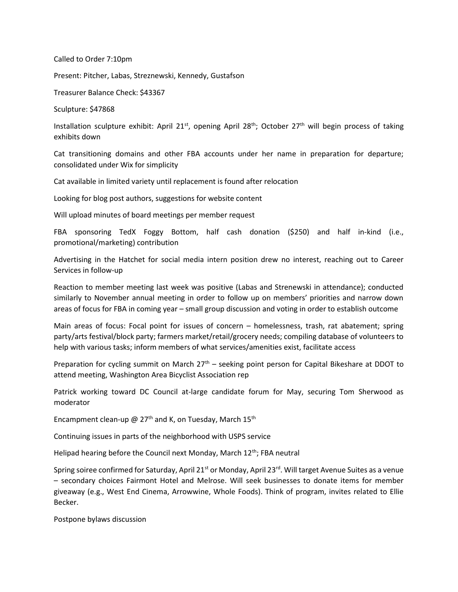Called to Order 7:10pm

Present: Pitcher, Labas, Streznewski, Kennedy, Gustafson

Treasurer Balance Check: \$43367

Sculpture: \$47868

Installation sculpture exhibit: April 21<sup>st</sup>, opening April 28<sup>th</sup>; October 27<sup>th</sup> will begin process of taking exhibits down

Cat transitioning domains and other FBA accounts under her name in preparation for departure; consolidated under Wix for simplicity

Cat available in limited variety until replacement is found after relocation

Looking for blog post authors, suggestions for website content

Will upload minutes of board meetings per member request

FBA sponsoring TedX Foggy Bottom, half cash donation (\$250) and half in-kind (i.e., promotional/marketing) contribution

Advertising in the Hatchet for social media intern position drew no interest, reaching out to Career Services in follow-up

Reaction to member meeting last week was positive (Labas and Strenewski in attendance); conducted similarly to November annual meeting in order to follow up on members' priorities and narrow down areas of focus for FBA in coming year – small group discussion and voting in order to establish outcome

Main areas of focus: Focal point for issues of concern – homelessness, trash, rat abatement; spring party/arts festival/block party; farmers market/retail/grocery needs; compiling database of volunteers to help with various tasks; inform members of what services/amenities exist, facilitate access

Preparation for cycling summit on March  $27<sup>th</sup>$  – seeking point person for Capital Bikeshare at DDOT to attend meeting, Washington Area Bicyclist Association rep

Patrick working toward DC Council at-large candidate forum for May, securing Tom Sherwood as moderator

Encampment clean-up @  $27<sup>th</sup>$  and K, on Tuesday, March  $15<sup>th</sup>$ 

Continuing issues in parts of the neighborhood with USPS service

Helipad hearing before the Council next Monday, March 12<sup>th</sup>; FBA neutral

Spring soiree confirmed for Saturday, April 21<sup>st</sup> or Monday, April 23<sup>rd</sup>. Will target Avenue Suites as a venue – secondary choices Fairmont Hotel and Melrose. Will seek businesses to donate items for member giveaway (e.g., West End Cinema, Arrowwine, Whole Foods). Think of program, invites related to Ellie Becker.

Postpone bylaws discussion